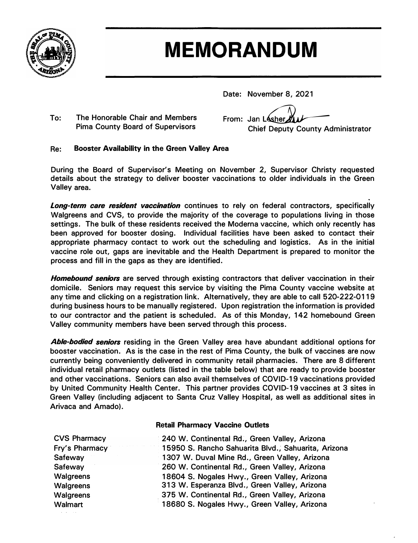

## **MEMORANDUM**

**Date: November 8, 2021** 

**To: The Honorable Chair and Members Pima County Board of Supervisors** 

From: Jan Lesher **Chief Deputy County Administrator**

## **Re: Booster Availability in the Green Valley Area**

**During the Board of Supervisor's Meeting on November 2, Supervisor Christy requested details about the strategy to deliver booster vaccinations to older individuals in the Green Valley area.**

*Long-term care resident vaccination* **continues to rely on federal contractors, specifically Walgreens and CVS, to provide the majority of the coverage to populations living in those settings. The bulk of these residents received the Moderna vaccine, which only recently has been approved for booster dosing. Individual facilities have been asked to contact their appropriate pharmacy contact to work out the scheduling and logistics. As in the initial vaccine role out, gaps are inevitable and the Health Department is prepared to monitor the process and fill in the gaps as they are identified.** 

*Homebound seniors* **are served through existing contractors that deliver vaccination in their domicile. Seniors may request this service by visiting the Pima County vaccine website at any time and clicking on a registration link. Alternatively, they are able to call 520-222-0119 during business hours to be manually registered. Upon registration the information is provided to our contractor and the patient is scheduled. As of this Monday, 142 homebound Green Valley community members have been served through this process.** 

*Able-bodied seniors* **residing in the Green Valley area have abundant additional options for booster vaccination. As is the case in the rest of Pima County, the bulk of vaccines are now currently being conveniently delivered in community retail pharmacies. There are 8 different individual retail pharmacy outlets (listed in the table below) that are ready to provide booster and other vaccinations. Seniors can also avail themselves of COVID-19 vaccinations provided by United Community Health Center. This partner provides COVID-19 vaccines at 3 sites in Green Valley (including adjacent to Santa Cruz Valley Hospital, as well as additional sites in Arivaca and Amado).** 

## **Retail Pharmacy Vaccine Outlets**

| <b>CVS Pharmacy</b> | 240 W. Continental Rd., Green Valley, Arizona       |
|---------------------|-----------------------------------------------------|
| Fry's Pharmacy      | 15950 S. Rancho Sahuarita Blvd., Sahuarita, Arizona |
| Safeway             | 1307 W. Duval Mine Rd., Green Valley, Arizona       |
| Safeway             | 260 W. Continental Rd., Green Valley, Arizona       |
| Walgreens           | 18604 S. Nogales Hwy., Green Valley, Arizona        |
| Walgreens           | 313 W. Esperanza Blvd., Green Valley, Arizona       |
| Walgreens           | 375 W. Continental Rd., Green Valley, Arizona       |
| Walmart             | 18680 S. Nogales Hwy., Green Valley, Arizona        |